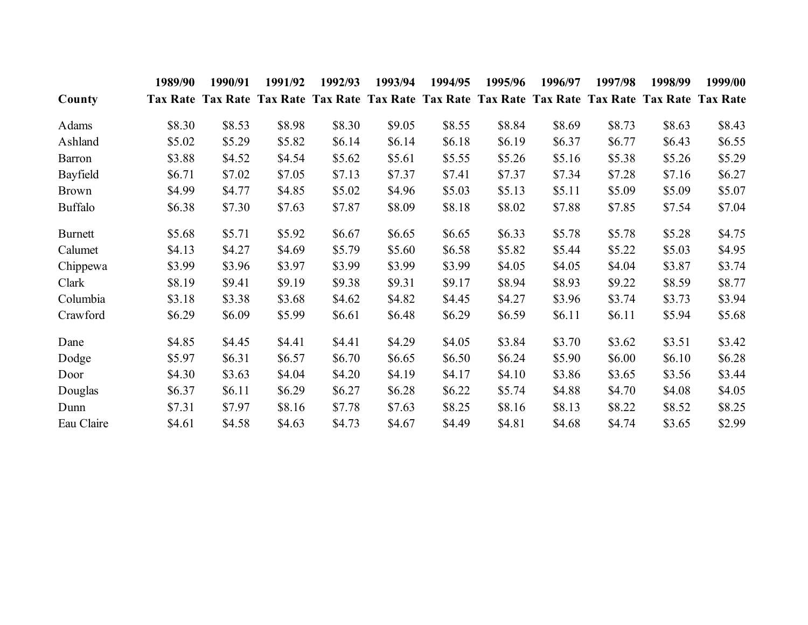|                | 1989/90 | 1990/91                                                                                            | 1991/92 | 1992/93 | 1993/94 | 1994/95 | 1995/96  | 1996/97 | 1997/98 | 1998/99 | 1999/00 |
|----------------|---------|----------------------------------------------------------------------------------------------------|---------|---------|---------|---------|----------|---------|---------|---------|---------|
| County         |         | Tax Rate Tax Rate Tax Rate Tax Rate Tax Rate Tax Rate Tax Rate Tax Rate Tax Rate Tax Rate Tax Rate |         |         |         |         |          |         |         |         |         |
| Adams          | \$8.30  | \$8.53                                                                                             | \$8.98  | \$8.30  | \$9.05  | \$8.55  | \$8.84   | \$8.69  | \$8.73  | \$8.63  | \$8.43  |
| Ashland        | \$5.02  | \$5.29                                                                                             | \$5.82  | \$6.14  | \$6.14  | \$6.18  | \$6.19   | \$6.37  | \$6.77  | \$6.43  | \$6.55  |
| Barron         | \$3.88  | \$4.52                                                                                             | \$4.54  | \$5.62  | \$5.61  | \$5.55  | \$5.26   | \$5.16  | \$5.38  | \$5.26  | \$5.29  |
| Bayfield       | \$6.71  | \$7.02                                                                                             | \$7.05  | \$7.13  | \$7.37  | \$7.41  | \$7.37   | \$7.34  | \$7.28  | \$7.16  | \$6.27  |
| <b>Brown</b>   | \$4.99  | \$4.77                                                                                             | \$4.85  | \$5.02  | \$4.96  | \$5.03  | \$5.13   | \$5.11  | \$5.09  | \$5.09  | \$5.07  |
| <b>Buffalo</b> | \$6.38  | \$7.30                                                                                             | \$7.63  | \$7.87  | \$8.09  | \$8.18  | \$8.02   | \$7.88  | \$7.85  | \$7.54  | \$7.04  |
| <b>Burnett</b> | \$5.68  | \$5.71                                                                                             | \$5.92  | \$6.67  | \$6.65  | \$6.65  | \$6.33\$ | \$5.78  | \$5.78  | \$5.28  | \$4.75  |
| Calumet        | \$4.13  | \$4.27                                                                                             | \$4.69  | \$5.79  | \$5.60  | \$6.58  | \$5.82   | \$5.44  | \$5.22  | \$5.03  | \$4.95  |
| Chippewa       | \$3.99  | \$3.96                                                                                             | \$3.97  | \$3.99  | \$3.99  | \$3.99  | \$4.05   | \$4.05  | \$4.04  | \$3.87  | \$3.74  |
| Clark          | \$8.19  | \$9.41                                                                                             | \$9.19  | \$9.38  | \$9.31  | \$9.17  | \$8.94   | \$8.93  | \$9.22  | \$8.59  | \$8.77  |
| Columbia       | \$3.18  | \$3.38                                                                                             | \$3.68  | \$4.62  | \$4.82  | \$4.45  | \$4.27   | \$3.96  | \$3.74  | \$3.73  | \$3.94  |
| Crawford       | \$6.29  | \$6.09                                                                                             | \$5.99  | \$6.61  | \$6.48  | \$6.29  | \$6.59   | \$6.11  | \$6.11  | \$5.94  | \$5.68  |
| Dane           | \$4.85  | \$4.45                                                                                             | \$4.41  | \$4.41  | \$4.29  | \$4.05  | \$3.84   | \$3.70  | \$3.62  | \$3.51  | \$3.42  |
| Dodge          | \$5.97  | \$6.31                                                                                             | \$6.57  | \$6.70  | \$6.65  | \$6.50  | \$6.24   | \$5.90  | \$6.00  | \$6.10  | \$6.28  |
| Door           | \$4.30  | \$3.63                                                                                             | \$4.04  | \$4.20  | \$4.19  | \$4.17  | \$4.10   | \$3.86  | \$3.65  | \$3.56  | \$3.44  |
| Douglas        | \$6.37  | \$6.11                                                                                             | \$6.29  | \$6.27  | \$6.28  | \$6.22  | \$5.74   | \$4.88  | \$4.70  | \$4.08  | \$4.05  |
| Dunn           | \$7.31  | \$7.97                                                                                             | \$8.16  | \$7.78  | \$7.63  | \$8.25  | \$8.16   | \$8.13  | \$8.22  | \$8.52  | \$8.25  |
| Eau Claire     | \$4.61  | \$4.58                                                                                             | \$4.63  | \$4.73  | \$4.67  | \$4.49  | \$4.81   | \$4.68  | \$4.74  | \$3.65  | \$2.99  |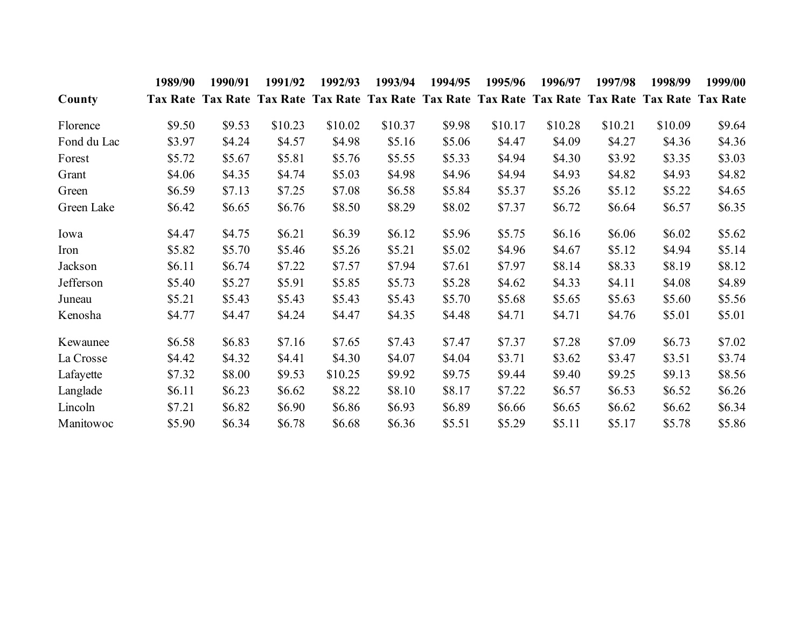|             | 1989/90 | 1990/91                                                                                            | 1991/92 | 1992/93 | 1993/94 | 1994/95 | 1995/96 | 1996/97 | 1997/98 | 1998/99 | 1999/00 |
|-------------|---------|----------------------------------------------------------------------------------------------------|---------|---------|---------|---------|---------|---------|---------|---------|---------|
| County      |         | Tax Rate Tax Rate Tax Rate Tax Rate Tax Rate Tax Rate Tax Rate Tax Rate Tax Rate Tax Rate Tax Rate |         |         |         |         |         |         |         |         |         |
| Florence    | \$9.50  | \$9.53                                                                                             | \$10.23 | \$10.02 | \$10.37 | \$9.98  | \$10.17 | \$10.28 | \$10.21 | \$10.09 | \$9.64  |
| Fond du Lac | \$3.97  | \$4.24                                                                                             | \$4.57  | \$4.98  | \$5.16  | \$5.06  | \$4.47  | \$4.09  | \$4.27  | \$4.36  | \$4.36  |
| Forest      | \$5.72  | \$5.67                                                                                             | \$5.81  | \$5.76  | \$5.55  | \$5.33  | \$4.94  | \$4.30  | \$3.92  | \$3.35  | \$3.03  |
| Grant       | \$4.06  | \$4.35                                                                                             | \$4.74  | \$5.03  | \$4.98  | \$4.96  | \$4.94  | \$4.93  | \$4.82  | \$4.93  | \$4.82  |
| Green       | \$6.59  | \$7.13                                                                                             | \$7.25  | \$7.08  | \$6.58  | \$5.84  | \$5.37  | \$5.26  | \$5.12  | \$5.22  | \$4.65  |
| Green Lake  | \$6.42  | \$6.65                                                                                             | \$6.76  | \$8.50  | \$8.29  | \$8.02  | \$7.37  | \$6.72  | \$6.64  | \$6.57  | \$6.35  |
| Iowa        | \$4.47  | \$4.75                                                                                             | \$6.21  | \$6.39  | \$6.12  | \$5.96  | \$5.75  | \$6.16  | \$6.06  | \$6.02  | \$5.62  |
| Iron        | \$5.82  | \$5.70                                                                                             | \$5.46  | \$5.26  | \$5.21  | \$5.02  | \$4.96  | \$4.67  | \$5.12  | \$4.94  | \$5.14  |
| Jackson     | \$6.11  | \$6.74                                                                                             | \$7.22  | \$7.57  | \$7.94  | \$7.61  | \$7.97  | \$8.14  | \$8.33  | \$8.19  | \$8.12  |
| Jefferson   | \$5.40  | \$5.27                                                                                             | \$5.91  | \$5.85  | \$5.73  | \$5.28  | \$4.62  | \$4.33  | \$4.11  | \$4.08  | \$4.89  |
| Juneau      | \$5.21  | \$5.43                                                                                             | \$5.43  | \$5.43  | \$5.43  | \$5.70  | \$5.68  | \$5.65  | \$5.63  | \$5.60  | \$5.56  |
| Kenosha     | \$4.77  | \$4.47                                                                                             | \$4.24  | \$4.47  | \$4.35  | \$4.48  | \$4.71  | \$4.71  | \$4.76  | \$5.01  | \$5.01  |
| Kewaunee    | \$6.58  | \$6.83                                                                                             | \$7.16  | \$7.65  | \$7.43  | \$7.47  | \$7.37  | \$7.28  | \$7.09  | \$6.73  | \$7.02  |
| La Crosse   | \$4.42  | \$4.32                                                                                             | \$4.41  | \$4.30  | \$4.07  | \$4.04  | \$3.71  | \$3.62  | \$3.47  | \$3.51  | \$3.74  |
| Lafayette   | \$7.32  | \$8.00                                                                                             | \$9.53  | \$10.25 | \$9.92  | \$9.75  | \$9.44  | \$9.40  | \$9.25  | \$9.13  | \$8.56  |
| Langlade    | \$6.11  | \$6.23                                                                                             | \$6.62  | \$8.22  | \$8.10  | \$8.17  | \$7.22  | \$6.57  | \$6.53  | \$6.52  | \$6.26  |
| Lincoln     | \$7.21  | \$6.82                                                                                             | \$6.90  | \$6.86  | \$6.93  | \$6.89  | \$6.66  | \$6.65  | \$6.62  | \$6.62  | \$6.34  |
| Manitowoc   | \$5.90  | \$6.34                                                                                             | \$6.78  | \$6.68  | \$6.36  | \$5.51  | \$5.29  | \$5.11  | \$5.17  | \$5.78  | \$5.86  |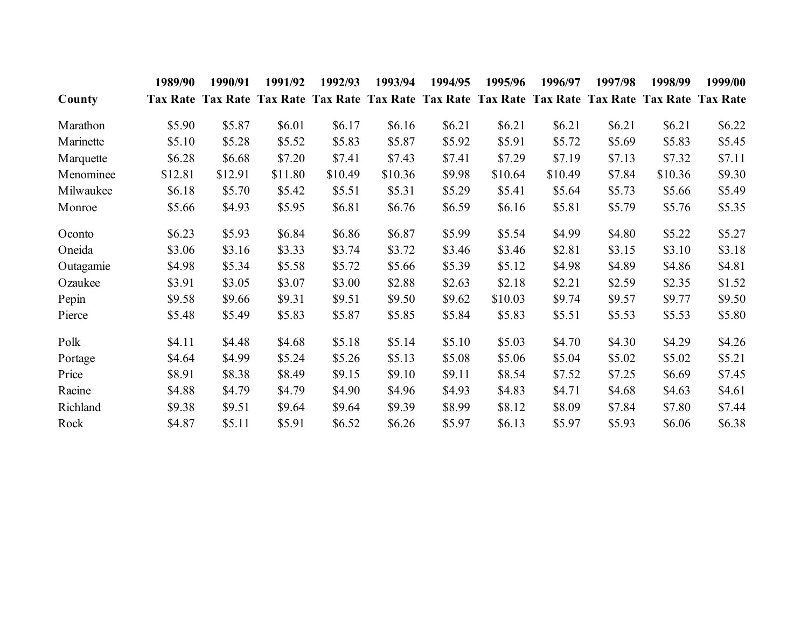|           | 1989/90  | 1990/91                                                                                            | 1991/92 | 1992/93 | 1993/94 | 1994/95 | 1995/96  | 1996/97 | 1997/98 | 1998/99 | 1999/00 |
|-----------|----------|----------------------------------------------------------------------------------------------------|---------|---------|---------|---------|----------|---------|---------|---------|---------|
| County    |          | Tax Rate Tax Rate Tax Rate Tax Rate Tax Rate Tax Rate Tax Rate Tax Rate Tax Rate Tax Rate Tax Rate |         |         |         |         |          |         |         |         |         |
| Marathon  | \$5.90   | \$5.87                                                                                             | \$6.01  | \$6.17  | \$6.16  | \$6.21  | \$6.21   | \$6.21  | \$6.21  | \$6.21  | \$6.22  |
| Marinette | \$5.10   | \$5.28                                                                                             | \$5.52  | \$5.83  | \$5.87  | \$5.92  | \$5.91   | \$5.72  | \$5.69  | \$5.83  | \$5.45  |
| Marquette | \$6.28   | \$6.68                                                                                             | \$7.20  | \$7.41  | \$7.43  | \$7.41  | \$7.29   | \$7.19  | \$7.13  | \$7.32  | \$7.11  |
| Menominee | \$12.81  | \$12.91                                                                                            | \$11.80 | \$10.49 | \$10.36 | \$9.98  | \$10.64  | \$10.49 | \$7.84  | \$10.36 | \$9.30  |
| Milwaukee | \$6.18   | \$5.70                                                                                             | \$5.42  | \$5.51  | \$5.31  | \$5.29  | \$5.41   | \$5.64  | \$5.73  | \$5.66  | \$5.49  |
| Monroe    | \$5.66   | \$4.93                                                                                             | \$5.95  | \$6.81  | \$6.76  | \$6.59  | \$6.16   | \$5.81  | \$5.79  | \$5.76  | \$5.35  |
| Oconto    | \$6.23\$ | \$5.93                                                                                             | \$6.84  | \$6.86  | \$6.87  | \$5.99  | \$5.54   | \$4.99  | \$4.80  | \$5.22  | \$5.27  |
| Oneida    | \$3.06   | \$3.16                                                                                             | \$3.33  | \$3.74  | \$3.72  | \$3.46  | \$3.46   | \$2.81  | \$3.15  | \$3.10  | \$3.18  |
| Outagamie | \$4.98   | \$5.34                                                                                             | \$5.58  | \$5.72  | \$5.66  | \$5.39  | \$5.12   | \$4.98  | \$4.89  | \$4.86  | \$4.81  |
| Ozaukee   | \$3.91   | \$3.05                                                                                             | \$3.07  | \$3.00  | \$2.88  | \$2.63  | \$2.18   | \$2.21  | \$2.59  | \$2.35  | \$1.52  |
| Pepin     | \$9.58   | \$9.66                                                                                             | \$9.31  | \$9.51  | \$9.50  | \$9.62  | \$10.03  | \$9.74  | \$9.57  | \$9.77  | \$9.50  |
| Pierce    | \$5.48   | \$5.49                                                                                             | \$5.83  | \$5.87  | \$5.85  | \$5.84  | \$5.83   | \$5.51  | \$5.53  | \$5.53  | \$5.80  |
| Polk      | \$4.11   | \$4.48                                                                                             | \$4.68  | \$5.18  | \$5.14  | \$5.10  | \$5.03\$ | \$4.70  | \$4.30  | \$4.29  | \$4.26  |
| Portage   | \$4.64   | \$4.99                                                                                             | \$5.24  | \$5.26  | \$5.13  | \$5.08  | \$5.06   | \$5.04  | \$5.02  | \$5.02  | \$5.21  |
| Price     | \$8.91   | \$8.38                                                                                             | \$8.49  | \$9.15  | \$9.10  | \$9.11  | \$8.54   | \$7.52  | \$7.25  | \$6.69  | \$7.45  |
| Racine    | \$4.88   | \$4.79                                                                                             | \$4.79  | \$4.90  | \$4.96  | \$4.93  | \$4.83   | \$4.71  | \$4.68  | \$4.63  | \$4.61  |
| Richland  | \$9.38   | \$9.51                                                                                             | \$9.64  | \$9.64  | \$9.39  | \$8.99  | \$8.12   | \$8.09  | \$7.84  | \$7.80  | \$7.44  |
| Rock      | \$4.87   | \$5.11                                                                                             | \$5.91  | \$6.52  | \$6.26  | \$5.97  | \$6.13   | \$5.97  | \$5.93  | \$6.06  | \$6.38  |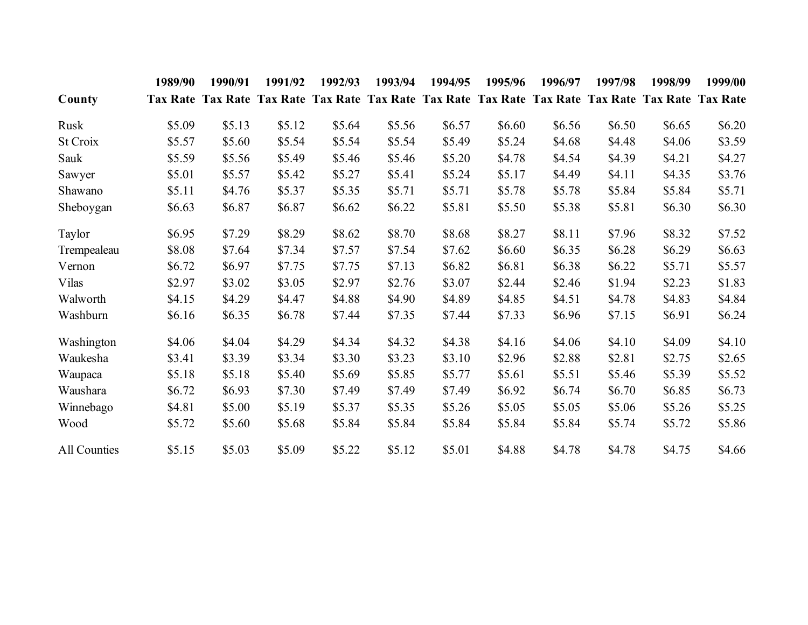|              | 1989/90 | 1990/91 | 1991/92 | 1992/93 | 1993/94                                                                                            | 1994/95 | 1995/96 | 1996/97 | 1997/98 | 1998/99 | 1999/00 |
|--------------|---------|---------|---------|---------|----------------------------------------------------------------------------------------------------|---------|---------|---------|---------|---------|---------|
| County       |         |         |         |         | Tax Rate Tax Rate Tax Rate Tax Rate Tax Rate Tax Rate Tax Rate Tax Rate Tax Rate Tax Rate Tax Rate |         |         |         |         |         |         |
| Rusk         | \$5.09  | \$5.13  | \$5.12  | \$5.64  | \$5.56                                                                                             | \$6.57  | \$6.60  | \$6.56  | \$6.50  | \$6.65  | \$6.20  |
| St Croix     | \$5.57  | \$5.60  | \$5.54  | \$5.54  | \$5.54                                                                                             | \$5.49  | \$5.24  | \$4.68  | \$4.48  | \$4.06  | \$3.59  |
| Sauk         | \$5.59  | \$5.56  | \$5.49  | \$5.46  | \$5.46                                                                                             | \$5.20  | \$4.78  | \$4.54  | \$4.39  | \$4.21  | \$4.27  |
| Sawyer       | \$5.01  | \$5.57  | \$5.42  | \$5.27  | \$5.41                                                                                             | \$5.24  | \$5.17  | \$4.49  | \$4.11  | \$4.35  | \$3.76  |
| Shawano      | \$5.11  | \$4.76  | \$5.37  | \$5.35  | \$5.71                                                                                             | \$5.71  | \$5.78  | \$5.78  | \$5.84  | \$5.84  | \$5.71  |
| Sheboygan    | \$6.63  | \$6.87  | \$6.87  | \$6.62  | \$6.22                                                                                             | \$5.81  | \$5.50  | \$5.38  | \$5.81  | \$6.30  | \$6.30  |
| Taylor       | \$6.95  | \$7.29  | \$8.29  | \$8.62  | \$8.70                                                                                             | \$8.68  | \$8.27  | \$8.11  | \$7.96  | \$8.32  | \$7.52  |
| Trempealeau  | \$8.08  | \$7.64  | \$7.34  | \$7.57  | \$7.54                                                                                             | \$7.62  | \$6.60  | \$6.35  | \$6.28  | \$6.29  | \$6.63  |
| Vernon       | \$6.72  | \$6.97  | \$7.75  | \$7.75  | \$7.13                                                                                             | \$6.82  | \$6.81  | \$6.38  | \$6.22  | \$5.71  | \$5.57  |
| Vilas        | \$2.97  | \$3.02  | \$3.05  | \$2.97  | \$2.76                                                                                             | \$3.07  | \$2.44  | \$2.46  | \$1.94  | \$2.23  | \$1.83  |
| Walworth     | \$4.15  | \$4.29  | \$4.47  | \$4.88  | \$4.90                                                                                             | \$4.89  | \$4.85  | \$4.51  | \$4.78  | \$4.83  | \$4.84  |
| Washburn     | \$6.16  | \$6.35  | \$6.78  | \$7.44  | \$7.35                                                                                             | \$7.44  | \$7.33  | \$6.96  | \$7.15  | \$6.91  | \$6.24  |
| Washington   | \$4.06  | \$4.04  | \$4.29  | \$4.34  | \$4.32                                                                                             | \$4.38  | \$4.16  | \$4.06  | \$4.10  | \$4.09  | \$4.10  |
| Waukesha     | \$3.41  | \$3.39  | \$3.34  | \$3.30  | \$3.23                                                                                             | \$3.10  | \$2.96  | \$2.88  | \$2.81  | \$2.75  | \$2.65  |
| Waupaca      | \$5.18  | \$5.18  | \$5.40  | \$5.69  | \$5.85                                                                                             | \$5.77  | \$5.61  | \$5.51  | \$5.46  | \$5.39  | \$5.52  |
| Waushara     | \$6.72  | \$6.93  | \$7.30  | \$7.49  | \$7.49                                                                                             | \$7.49  | \$6.92  | \$6.74  | \$6.70  | \$6.85  | \$6.73  |
| Winnebago    | \$4.81  | \$5.00  | \$5.19  | \$5.37  | \$5.35                                                                                             | \$5.26  | \$5.05  | \$5.05  | \$5.06  | \$5.26  | \$5.25  |
| Wood         | \$5.72  | \$5.60  | \$5.68  | \$5.84  | \$5.84                                                                                             | \$5.84  | \$5.84  | \$5.84  | \$5.74  | \$5.72  | \$5.86  |
| All Counties | \$5.15  | \$5.03  | \$5.09  | \$5.22  | \$5.12                                                                                             | \$5.01  | \$4.88  | \$4.78  | \$4.78  | \$4.75  | \$4.66  |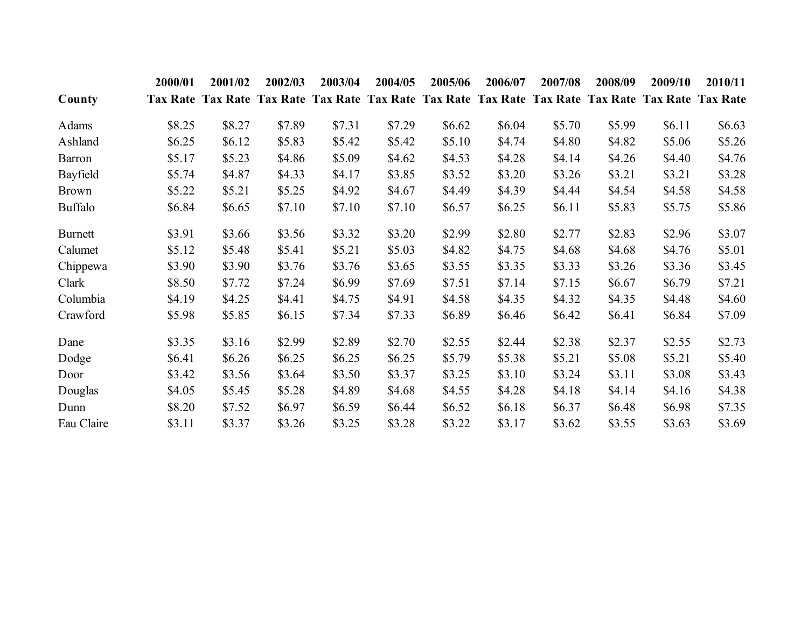|                | 2000/01 | 2001/02                                                                                            | 2002/03 | 2003/04 | 2004/05 | 2005/06 | 2006/07 | 2007/08 | 2008/09 | 2009/10 | 2010/11 |
|----------------|---------|----------------------------------------------------------------------------------------------------|---------|---------|---------|---------|---------|---------|---------|---------|---------|
| County         |         | Tax Rate Tax Rate Tax Rate Tax Rate Tax Rate Tax Rate Tax Rate Tax Rate Tax Rate Tax Rate Tax Rate |         |         |         |         |         |         |         |         |         |
| Adams          | \$8.25  | \$8.27                                                                                             | \$7.89  | \$7.31  | \$7.29  | \$6.62  | \$6.04  | \$5.70  | \$5.99  | \$6.11  | \$6.63  |
| Ashland        | \$6.25  | \$6.12                                                                                             | \$5.83  | \$5.42  | \$5.42  | \$5.10  | \$4.74  | \$4.80  | \$4.82  | \$5.06  | \$5.26  |
| Barron         | \$5.17  | \$5.23                                                                                             | \$4.86  | \$5.09  | \$4.62  | \$4.53  | \$4.28  | \$4.14  | \$4.26  | \$4.40  | \$4.76  |
| Bayfield       | \$5.74  | \$4.87                                                                                             | \$4.33  | \$4.17  | \$3.85  | \$3.52  | \$3.20  | \$3.26  | \$3.21  | \$3.21  | \$3.28  |
| <b>Brown</b>   | \$5.22  | \$5.21                                                                                             | \$5.25  | \$4.92  | \$4.67  | \$4.49  | \$4.39  | \$4.44  | \$4.54  | \$4.58  | \$4.58  |
| <b>Buffalo</b> | \$6.84  | \$6.65                                                                                             | \$7.10  | \$7.10  | \$7.10  | \$6.57  | \$6.25  | \$6.11  | \$5.83  | \$5.75  | \$5.86  |
| Burnett        | \$3.91  | \$3.66                                                                                             | \$3.56  | \$3.32  | \$3.20  | \$2.99  | \$2.80  | \$2.77  | \$2.83  | \$2.96  | \$3.07  |
| Calumet        | \$5.12  | \$5.48                                                                                             | \$5.41  | \$5.21  | \$5.03  | \$4.82  | \$4.75  | \$4.68  | \$4.68  | \$4.76  | \$5.01  |
| Chippewa       | \$3.90  | \$3.90                                                                                             | \$3.76  | \$3.76  | \$3.65  | \$3.55  | \$3.35  | \$3.33  | \$3.26  | \$3.36  | \$3.45  |
| Clark          | \$8.50  | \$7.72                                                                                             | \$7.24  | \$6.99  | \$7.69  | \$7.51  | \$7.14  | \$7.15  | \$6.67  | \$6.79  | \$7.21  |
| Columbia       | \$4.19  | \$4.25                                                                                             | \$4.41  | \$4.75  | \$4.91  | \$4.58  | \$4.35  | \$4.32  | \$4.35  | \$4.48  | \$4.60  |
| Crawford       | \$5.98  | \$5.85                                                                                             | \$6.15  | \$7.34  | \$7.33  | \$6.89  | \$6.46  | \$6.42  | \$6.41  | \$6.84  | \$7.09  |
| Dane           | \$3.35  | \$3.16                                                                                             | \$2.99  | \$2.89  | \$2.70  | \$2.55  | \$2.44  | \$2.38  | \$2.37  | \$2.55  | \$2.73  |
| Dodge          | \$6.41  | \$6.26                                                                                             | \$6.25  | \$6.25  | \$6.25  | \$5.79  | \$5.38  | \$5.21  | \$5.08  | \$5.21  | \$5.40  |
| Door           | \$3.42  | \$3.56                                                                                             | \$3.64  | \$3.50  | \$3.37  | \$3.25  | \$3.10  | \$3.24  | \$3.11  | \$3.08  | \$3.43  |
| Douglas        | \$4.05  | \$5.45                                                                                             | \$5.28  | \$4.89  | \$4.68  | \$4.55  | \$4.28  | \$4.18  | \$4.14  | \$4.16  | \$4.38  |
| Dunn           | \$8.20  | \$7.52                                                                                             | \$6.97  | \$6.59  | \$6.44  | \$6.52  | \$6.18  | \$6.37  | \$6.48  | \$6.98  | \$7.35  |
| Eau Claire     | \$3.11  | \$3.37                                                                                             | \$3.26  | \$3.25  | \$3.28  | \$3.22  | \$3.17  | \$3.62  | \$3.55  | \$3.63  | \$3.69  |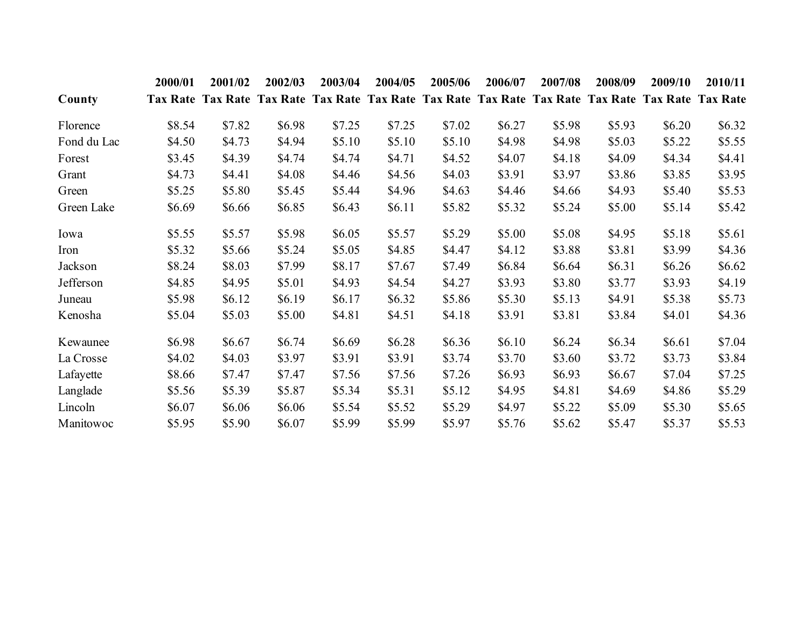|             | 2000/01 | 2001/02                                                                                            | 2002/03 | 2003/04 | 2004/05 | 2005/06 | 2006/07 | 2007/08  | 2008/09 | 2009/10 | 2010/11 |
|-------------|---------|----------------------------------------------------------------------------------------------------|---------|---------|---------|---------|---------|----------|---------|---------|---------|
| County      |         | Tax Rate Tax Rate Tax Rate Tax Rate Tax Rate Tax Rate Tax Rate Tax Rate Tax Rate Tax Rate Tax Rate |         |         |         |         |         |          |         |         |         |
| Florence    | \$8.54  | \$7.82                                                                                             | \$6.98  | \$7.25  | \$7.25  | \$7.02  | \$6.27  | \$5.98   | \$5.93  | \$6.20  | \$6.32  |
| Fond du Lac | \$4.50  | \$4.73                                                                                             | \$4.94  | \$5.10  | \$5.10  | \$5.10  | \$4.98  | \$4.98   | \$5.03  | \$5.22  | \$5.55  |
| Forest      | \$3.45  | \$4.39                                                                                             | \$4.74  | \$4.74  | \$4.71  | \$4.52  | \$4.07  | \$4.18   | \$4.09  | \$4.34  | \$4.41  |
| Grant       | \$4.73  | \$4.41                                                                                             | \$4.08  | \$4.46  | \$4.56  | \$4.03  | \$3.91  | \$3.97   | \$3.86  | \$3.85  | \$3.95  |
| Green       | \$5.25  | \$5.80                                                                                             | \$5.45  | \$5.44  | \$4.96  | \$4.63  | \$4.46  | \$4.66   | \$4.93  | \$5.40  | \$5.53  |
| Green Lake  | \$6.69  | \$6.66                                                                                             | \$6.85  | \$6.43  | \$6.11  | \$5.82  | \$5.32  | \$5.24   | \$5.00  | \$5.14  | \$5.42  |
| Iowa        | \$5.55  | \$5.57                                                                                             | \$5.98  | \$6.05  | \$5.57  | \$5.29  | \$5.00  | \$5.08   | \$4.95  | \$5.18  | \$5.61  |
| Iron        | \$5.32  | \$5.66                                                                                             | \$5.24  | \$5.05  | \$4.85  | \$4.47  | \$4.12  | \$3.88   | \$3.81  | \$3.99  | \$4.36  |
| Jackson     | \$8.24  | \$8.03                                                                                             | \$7.99  | \$8.17  | \$7.67  | \$7.49  | \$6.84  | \$6.64   | \$6.31  | \$6.26  | \$6.62  |
| Jefferson   | \$4.85  | \$4.95                                                                                             | \$5.01  | \$4.93  | \$4.54  | \$4.27  | \$3.93  | \$3.80   | \$3.77  | \$3.93  | \$4.19  |
| Juneau      | \$5.98  | \$6.12                                                                                             | \$6.19  | \$6.17  | \$6.32  | \$5.86  | \$5.30  | \$5.13   | \$4.91  | \$5.38  | \$5.73  |
| Kenosha     | \$5.04  | \$5.03                                                                                             | \$5.00  | \$4.81  | \$4.51  | \$4.18  | \$3.91  | \$3.81   | \$3.84  | \$4.01  | \$4.36  |
| Kewaunee    | \$6.98  | \$6.67                                                                                             | \$6.74  | \$6.69  | \$6.28  | \$6.36  | \$6.10  | \$6.24\$ | \$6.34  | \$6.61  | \$7.04  |
| La Crosse   | \$4.02  | \$4.03                                                                                             | \$3.97  | \$3.91  | \$3.91  | \$3.74  | \$3.70  | \$3.60   | \$3.72  | \$3.73  | \$3.84  |
| Lafayette   | \$8.66  | \$7.47                                                                                             | \$7.47  | \$7.56  | \$7.56  | \$7.26  | \$6.93  | \$6.93   | \$6.67  | \$7.04  | \$7.25  |
| Langlade    | \$5.56  | \$5.39                                                                                             | \$5.87  | \$5.34  | \$5.31  | \$5.12  | \$4.95  | \$4.81   | \$4.69  | \$4.86  | \$5.29  |
| Lincoln     | \$6.07  | \$6.06                                                                                             | \$6.06  | \$5.54  | \$5.52  | \$5.29  | \$4.97  | \$5.22   | \$5.09  | \$5.30  | \$5.65  |
| Manitowoc   | \$5.95  | \$5.90                                                                                             | \$6.07  | \$5.99  | \$5.99  | \$5.97  | \$5.76  | \$5.62   | \$5.47  | \$5.37  | \$5.53  |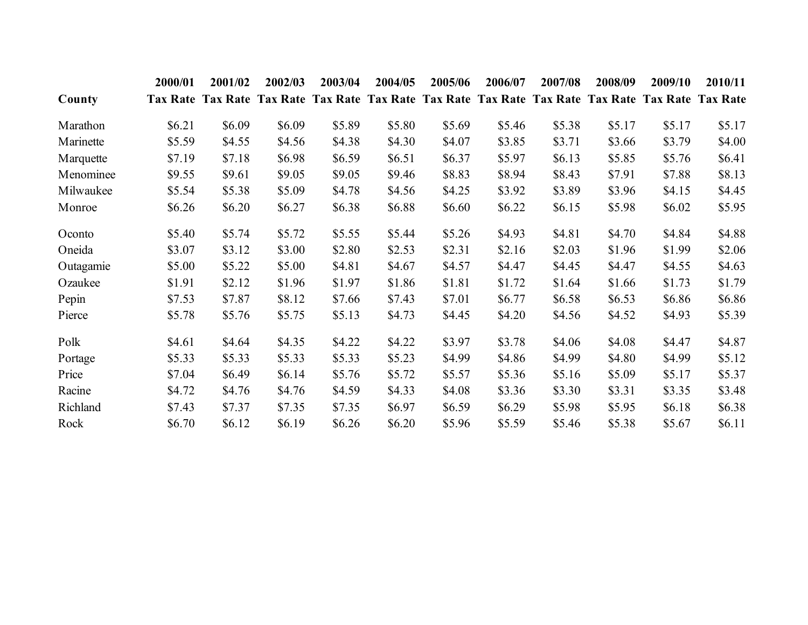|           | 2000/01 | 2001/02                                                                                            | 2002/03 | 2003/04 | 2004/05 | 2005/06 | 2006/07 | 2007/08 | 2008/09 | 2009/10 | 2010/11 |
|-----------|---------|----------------------------------------------------------------------------------------------------|---------|---------|---------|---------|---------|---------|---------|---------|---------|
| County    |         | Tax Rate Tax Rate Tax Rate Tax Rate Tax Rate Tax Rate Tax Rate Tax Rate Tax Rate Tax Rate Tax Rate |         |         |         |         |         |         |         |         |         |
| Marathon  | \$6.21  | \$6.09                                                                                             | \$6.09  | \$5.89  | \$5.80  | \$5.69  | \$5.46  | \$5.38  | \$5.17  | \$5.17  | \$5.17  |
| Marinette | \$5.59  | \$4.55                                                                                             | \$4.56  | \$4.38  | \$4.30  | \$4.07  | \$3.85  | \$3.71  | \$3.66  | \$3.79  | \$4.00  |
| Marquette | \$7.19  | \$7.18                                                                                             | \$6.98  | \$6.59  | \$6.51  | \$6.37  | \$5.97  | \$6.13  | \$5.85  | \$5.76  | \$6.41  |
| Menominee | \$9.55  | \$9.61                                                                                             | \$9.05  | \$9.05  | \$9.46  | \$8.83  | \$8.94  | \$8.43  | \$7.91  | \$7.88  | \$8.13  |
| Milwaukee | \$5.54  | \$5.38                                                                                             | \$5.09  | \$4.78  | \$4.56  | \$4.25  | \$3.92  | \$3.89  | \$3.96  | \$4.15  | \$4.45  |
| Monroe    | \$6.26  | \$6.20                                                                                             | \$6.27  | \$6.38  | \$6.88  | \$6.60  | \$6.22  | \$6.15  | \$5.98  | \$6.02  | \$5.95  |
| Oconto    | \$5.40  | \$5.74                                                                                             | \$5.72  | \$5.55  | \$5.44  | \$5.26  | \$4.93  | \$4.81  | \$4.70  | \$4.84  | \$4.88  |
| Oneida    | \$3.07  | \$3.12                                                                                             | \$3.00  | \$2.80  | \$2.53  | \$2.31  | \$2.16  | \$2.03  | \$1.96  | \$1.99  | \$2.06  |
| Outagamie | \$5.00  | \$5.22                                                                                             | \$5.00  | \$4.81  | \$4.67  | \$4.57  | \$4.47  | \$4.45  | \$4.47  | \$4.55  | \$4.63  |
| Ozaukee   | \$1.91  | \$2.12                                                                                             | \$1.96  | \$1.97  | \$1.86  | \$1.81  | \$1.72  | \$1.64  | \$1.66  | \$1.73  | \$1.79  |
| Pepin     | \$7.53  | \$7.87                                                                                             | \$8.12  | \$7.66  | \$7.43  | \$7.01  | \$6.77  | \$6.58  | \$6.53  | \$6.86  | \$6.86  |
| Pierce    | \$5.78  | \$5.76                                                                                             | \$5.75  | \$5.13  | \$4.73  | \$4.45  | \$4.20  | \$4.56  | \$4.52  | \$4.93  | \$5.39  |
| Polk      | \$4.61  | \$4.64                                                                                             | \$4.35  | \$4.22  | \$4.22  | \$3.97  | \$3.78  | \$4.06  | \$4.08  | \$4.47  | \$4.87  |
| Portage   | \$5.33  | \$5.33                                                                                             | \$5.33  | \$5.33  | \$5.23  | \$4.99  | \$4.86  | \$4.99  | \$4.80  | \$4.99  | \$5.12  |
| Price     | \$7.04  | \$6.49                                                                                             | \$6.14  | \$5.76  | \$5.72  | \$5.57  | \$5.36  | \$5.16  | \$5.09  | \$5.17  | \$5.37  |
| Racine    | \$4.72  | \$4.76                                                                                             | \$4.76  | \$4.59  | \$4.33  | \$4.08  | \$3.36  | \$3.30  | \$3.31  | \$3.35  | \$3.48  |
| Richland  | \$7.43  | \$7.37                                                                                             | \$7.35  | \$7.35  | \$6.97  | \$6.59  | \$6.29  | \$5.98  | \$5.95  | \$6.18  | \$6.38  |
| Rock      | \$6.70  | \$6.12                                                                                             | \$6.19  | \$6.26  | \$6.20  | \$5.96  | \$5.59  | \$5.46  | \$5.38  | \$5.67  | \$6.11  |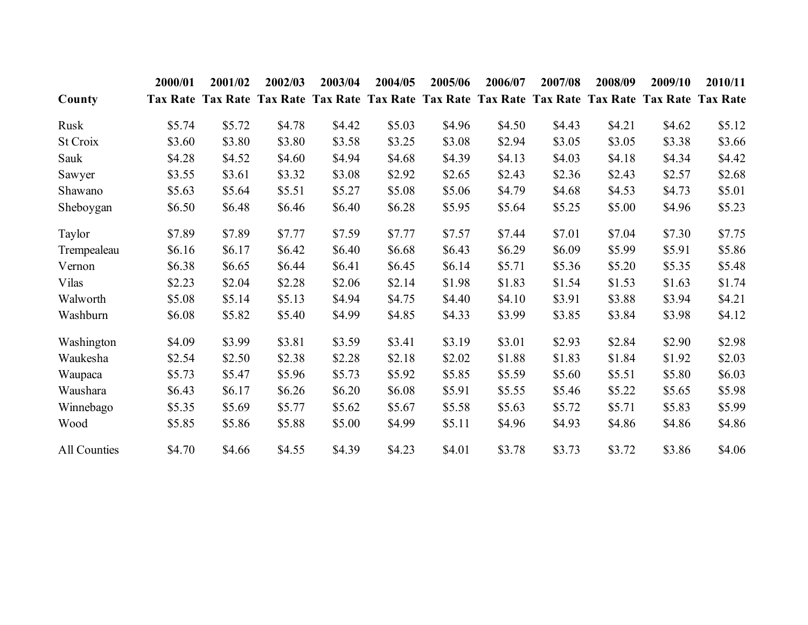|              | 2000/01 | 2001/02 | 2002/03 | 2003/04 | 2004/05                                                                                            | 2005/06 | 2006/07 | 2007/08 | 2008/09 | 2009/10 | 2010/11 |
|--------------|---------|---------|---------|---------|----------------------------------------------------------------------------------------------------|---------|---------|---------|---------|---------|---------|
| County       |         |         |         |         | Tax Rate Tax Rate Tax Rate Tax Rate Tax Rate Tax Rate Tax Rate Tax Rate Tax Rate Tax Rate Tax Rate |         |         |         |         |         |         |
| Rusk         | \$5.74  | \$5.72  | \$4.78  | \$4.42  | \$5.03                                                                                             | \$4.96  | \$4.50  | \$4.43  | \$4.21  | \$4.62  | \$5.12  |
| St Croix     | \$3.60  | \$3.80  | \$3.80  | \$3.58  | \$3.25                                                                                             | \$3.08  | \$2.94  | \$3.05  | \$3.05  | \$3.38  | \$3.66  |
| Sauk         | \$4.28  | \$4.52  | \$4.60  | \$4.94  | \$4.68                                                                                             | \$4.39  | \$4.13  | \$4.03  | \$4.18  | \$4.34  | \$4.42  |
| Sawyer       | \$3.55  | \$3.61  | \$3.32  | \$3.08  | \$2.92                                                                                             | \$2.65  | \$2.43  | \$2.36  | \$2.43  | \$2.57  | \$2.68  |
| Shawano      | \$5.63  | \$5.64  | \$5.51  | \$5.27  | \$5.08                                                                                             | \$5.06  | \$4.79  | \$4.68  | \$4.53  | \$4.73  | \$5.01  |
| Sheboygan    | \$6.50  | \$6.48  | \$6.46  | \$6.40  | \$6.28                                                                                             | \$5.95  | \$5.64  | \$5.25  | \$5.00  | \$4.96  | \$5.23  |
| Taylor       | \$7.89  | \$7.89  | \$7.77  | \$7.59  | \$7.77                                                                                             | \$7.57  | \$7.44  | \$7.01  | \$7.04  | \$7.30  | \$7.75  |
| Trempealeau  | \$6.16  | \$6.17  | \$6.42  | \$6.40  | \$6.68                                                                                             | \$6.43  | \$6.29  | \$6.09  | \$5.99  | \$5.91  | \$5.86  |
| Vernon       | \$6.38  | \$6.65  | \$6.44  | \$6.41  | \$6.45                                                                                             | \$6.14  | \$5.71  | \$5.36  | \$5.20  | \$5.35  | \$5.48  |
| Vilas        | \$2.23  | \$2.04  | \$2.28  | \$2.06  | \$2.14                                                                                             | \$1.98  | \$1.83  | \$1.54  | \$1.53  | \$1.63  | \$1.74  |
| Walworth     | \$5.08  | \$5.14  | \$5.13  | \$4.94  | \$4.75                                                                                             | \$4.40  | \$4.10  | \$3.91  | \$3.88  | \$3.94  | \$4.21  |
| Washburn     | \$6.08  | \$5.82  | \$5.40  | \$4.99  | \$4.85                                                                                             | \$4.33  | \$3.99  | \$3.85  | \$3.84  | \$3.98  | \$4.12  |
| Washington   | \$4.09  | \$3.99  | \$3.81  | \$3.59  | \$3.41                                                                                             | \$3.19  | \$3.01  | \$2.93  | \$2.84  | \$2.90  | \$2.98  |
| Waukesha     | \$2.54  | \$2.50  | \$2.38  | \$2.28  | \$2.18                                                                                             | \$2.02  | \$1.88  | \$1.83  | \$1.84  | \$1.92  | \$2.03  |
| Waupaca      | \$5.73  | \$5.47  | \$5.96  | \$5.73  | \$5.92                                                                                             | \$5.85  | \$5.59  | \$5.60  | \$5.51  | \$5.80  | \$6.03  |
| Waushara     | \$6.43  | \$6.17  | \$6.26  | \$6.20  | \$6.08                                                                                             | \$5.91  | \$5.55  | \$5.46  | \$5.22  | \$5.65  | \$5.98  |
| Winnebago    | \$5.35  | \$5.69  | \$5.77  | \$5.62  | \$5.67                                                                                             | \$5.58  | \$5.63  | \$5.72  | \$5.71  | \$5.83  | \$5.99  |
| Wood         | \$5.85  | \$5.86  | \$5.88  | \$5.00  | \$4.99                                                                                             | \$5.11  | \$4.96  | \$4.93  | \$4.86  | \$4.86  | \$4.86  |
| All Counties | \$4.70  | \$4.66  | \$4.55  | \$4.39  | \$4.23                                                                                             | \$4.01  | \$3.78  | \$3.73  | \$3.72  | \$3.86  | \$4.06  |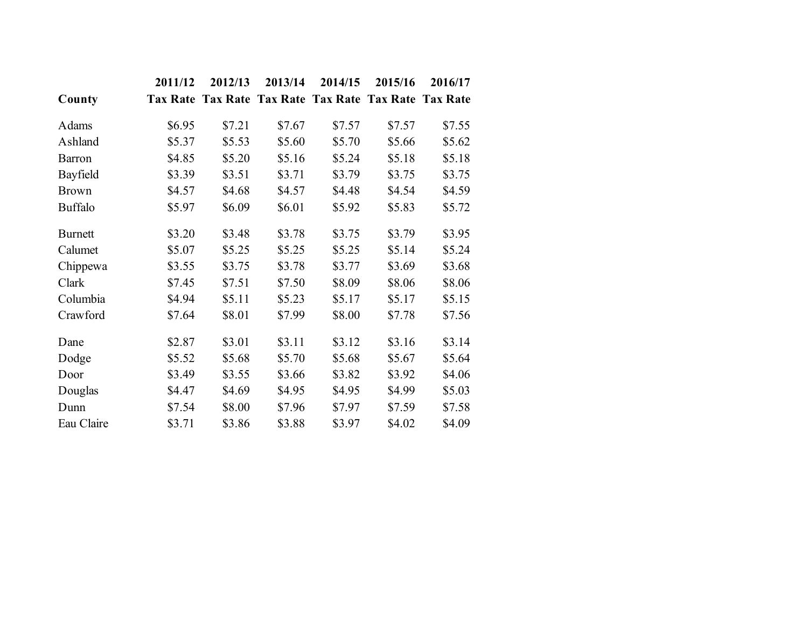|                | 2011/12 | 2012/13 | 2013/14                                               | 2014/15 | 2015/16 | 2016/17 |
|----------------|---------|---------|-------------------------------------------------------|---------|---------|---------|
| County         |         |         | Tax Rate Tax Rate Tax Rate Tax Rate Tax Rate Tax Rate |         |         |         |
| Adams          | \$6.95  | \$7.21  | \$7.67                                                | \$7.57  | \$7.57  | \$7.55  |
| Ashland        | \$5.37  | \$5.53  | \$5.60                                                | \$5.70  | \$5.66  | \$5.62  |
| <b>Barron</b>  | \$4.85  | \$5.20  | \$5.16                                                | \$5.24  | \$5.18  | \$5.18  |
| Bayfield       | \$3.39  | \$3.51  | \$3.71                                                | \$3.79  | \$3.75  | \$3.75  |
| <b>Brown</b>   | \$4.57  | \$4.68  | \$4.57                                                | \$4.48  | \$4.54  | \$4.59  |
| <b>Buffalo</b> | \$5.97  | \$6.09  | \$6.01                                                | \$5.92  | \$5.83  | \$5.72  |
| <b>Burnett</b> | \$3.20  | \$3.48  | \$3.78                                                | \$3.75  | \$3.79  | \$3.95  |
| Calumet        | \$5.07  | \$5.25  | \$5.25                                                | \$5.25  | \$5.14  | \$5.24  |
| Chippewa       | \$3.55  | \$3.75  | \$3.78                                                | \$3.77  | \$3.69  | \$3.68  |
| Clark          | \$7.45  | \$7.51  | \$7.50                                                | \$8.09  | \$8.06  | \$8.06  |
| Columbia       | \$4.94  | \$5.11  | \$5.23                                                | \$5.17  | \$5.17  | \$5.15  |
| Crawford       | \$7.64  | \$8.01  | \$7.99                                                | \$8.00  | \$7.78  | \$7.56  |
| Dane           | \$2.87  | \$3.01  | \$3.11                                                | \$3.12  | \$3.16  | \$3.14  |
| Dodge          | \$5.52  | \$5.68  | \$5.70                                                | \$5.68  | \$5.67  | \$5.64  |
| Door           | \$3.49  | \$3.55  | \$3.66                                                | \$3.82  | \$3.92  | \$4.06  |
| Douglas        | \$4.47  | \$4.69  | \$4.95                                                | \$4.95  | \$4.99  | \$5.03  |
| Dunn           | \$7.54  | \$8.00  | \$7.96                                                | \$7.97  | \$7.59  | \$7.58  |
| Eau Claire     | \$3.71  | \$3.86  | \$3.88                                                | \$3.97  | \$4.02  | \$4.09  |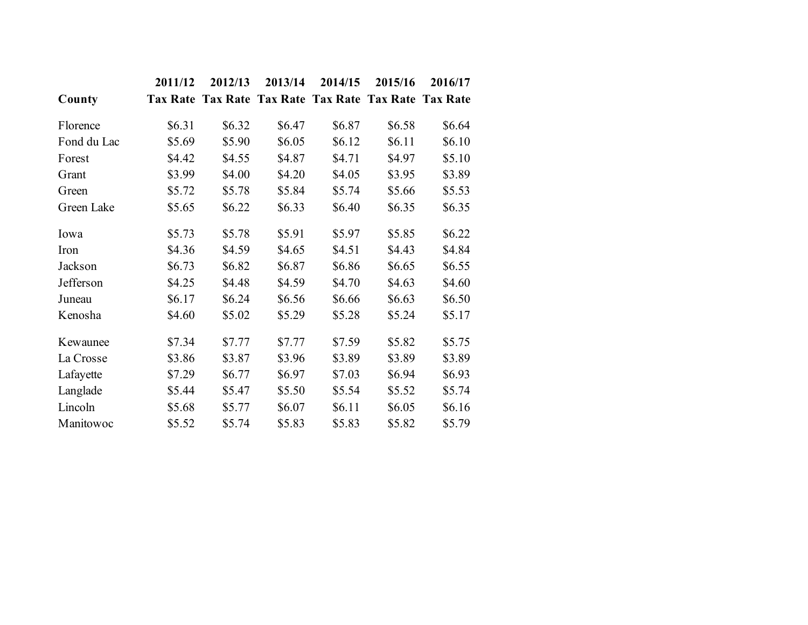|             | 2011/12 | 2012/13 | 2013/14 | 2014/15 | 2015/16                                               | 2016/17 |
|-------------|---------|---------|---------|---------|-------------------------------------------------------|---------|
| County      |         |         |         |         | Tax Rate Tax Rate Tax Rate Tax Rate Tax Rate Tax Rate |         |
| Florence    | \$6.31  | \$6.32  | \$6.47  | \$6.87  | \$6.58                                                | \$6.64  |
| Fond du Lac | \$5.69  | \$5.90  | \$6.05  | \$6.12  | \$6.11                                                | \$6.10  |
| Forest      | \$4.42  | \$4.55  | \$4.87  | \$4.71  | \$4.97                                                | \$5.10  |
| Grant       | \$3.99  | \$4.00  | \$4.20  | \$4.05  | \$3.95                                                | \$3.89  |
| Green       | \$5.72  | \$5.78  | \$5.84  | \$5.74  | \$5.66                                                | \$5.53  |
| Green Lake  | \$5.65  | \$6.22  | \$6.33  | \$6.40  | \$6.35                                                | \$6.35  |
| Iowa        | \$5.73  | \$5.78  | \$5.91  | \$5.97  | \$5.85                                                | \$6.22  |
| Iron        | \$4.36  | \$4.59  | \$4.65  | \$4.51  | \$4.43                                                | \$4.84  |
| Jackson     | \$6.73  | \$6.82  | \$6.87  | \$6.86  | \$6.65                                                | \$6.55  |
| Jefferson   | \$4.25  | \$4.48  | \$4.59  | \$4.70  | \$4.63                                                | \$4.60  |
| Juneau      | \$6.17  | \$6.24  | \$6.56  | \$6.66  | \$6.63                                                | \$6.50  |
| Kenosha     | \$4.60  | \$5.02  | \$5.29  | \$5.28  | \$5.24                                                | \$5.17  |
| Kewaunee    | \$7.34  | \$7.77  | \$7.77  | \$7.59  | \$5.82                                                | \$5.75  |
| La Crosse   | \$3.86  | \$3.87  | \$3.96  | \$3.89  | \$3.89                                                | \$3.89  |
| Lafayette   | \$7.29  | \$6.77  | \$6.97  | \$7.03  | \$6.94                                                | \$6.93  |
| Langlade    | \$5.44  | \$5.47  | \$5.50  | \$5.54  | \$5.52                                                | \$5.74  |
| Lincoln     | \$5.68  | \$5.77  | \$6.07  | \$6.11  | \$6.05                                                | \$6.16  |
| Manitowoc   | \$5.52  | \$5.74  | \$5.83  | \$5.83  | \$5.82                                                | \$5.79  |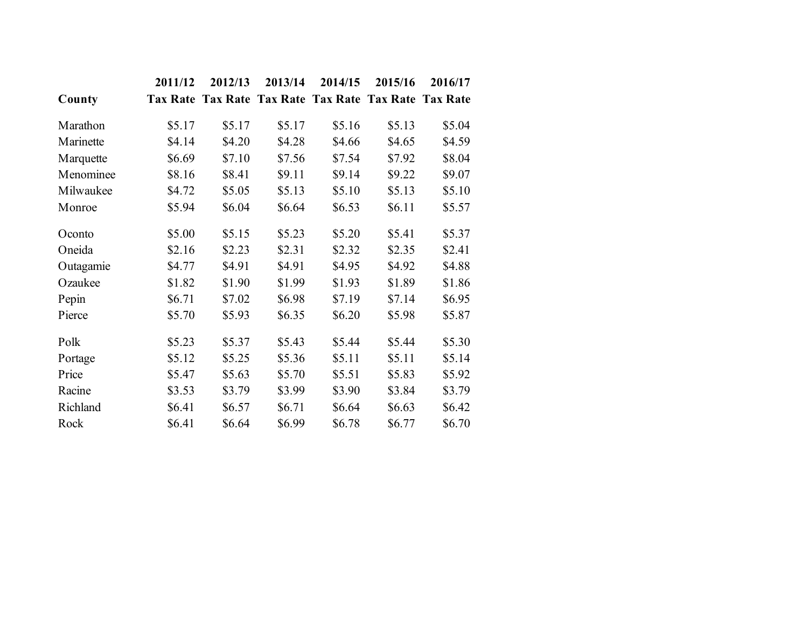|           | 2011/12 | 2012/13 | 2013/14 | 2014/15 | 2015/16                                               | 2016/17 |
|-----------|---------|---------|---------|---------|-------------------------------------------------------|---------|
| County    |         |         |         |         | Tax Rate Tax Rate Tax Rate Tax Rate Tax Rate Tax Rate |         |
| Marathon  | \$5.17  | \$5.17  | \$5.17  | \$5.16  | \$5.13                                                | \$5.04  |
| Marinette | \$4.14  | \$4.20  | \$4.28  | \$4.66  | \$4.65                                                | \$4.59  |
| Marquette | \$6.69  | \$7.10  | \$7.56  | \$7.54  | \$7.92                                                | \$8.04  |
| Menominee | \$8.16  | \$8.41  | \$9.11  | \$9.14  | \$9.22                                                | \$9.07  |
| Milwaukee | \$4.72  | \$5.05  | \$5.13  | \$5.10  | \$5.13                                                | \$5.10  |
| Monroe    | \$5.94  | \$6.04  | \$6.64  | \$6.53  | \$6.11                                                | \$5.57  |
| Oconto    | \$5.00  | \$5.15  | \$5.23  | \$5.20  | \$5.41                                                | \$5.37  |
| Oneida    | \$2.16  | \$2.23  | \$2.31  | \$2.32  | \$2.35                                                | \$2.41  |
| Outagamie | \$4.77  | \$4.91  | \$4.91  | \$4.95  | \$4.92                                                | \$4.88  |
| Ozaukee   | \$1.82  | \$1.90  | \$1.99  | \$1.93  | \$1.89                                                | \$1.86  |
| Pepin     | \$6.71  | \$7.02  | \$6.98  | \$7.19  | \$7.14                                                | \$6.95  |
| Pierce    | \$5.70  | \$5.93  | \$6.35  | \$6.20  | \$5.98                                                | \$5.87  |
| Polk      | \$5.23  | \$5.37  | \$5.43  | \$5.44  | \$5.44                                                | \$5.30  |
| Portage   | \$5.12  | \$5.25  | \$5.36  | \$5.11  | \$5.11                                                | \$5.14  |
| Price     | \$5.47  | \$5.63  | \$5.70  | \$5.51  | \$5.83                                                | \$5.92  |
| Racine    | \$3.53  | \$3.79  | \$3.99  | \$3.90  | \$3.84                                                | \$3.79  |
| Richland  | \$6.41  | \$6.57  | \$6.71  | \$6.64  | \$6.63                                                | \$6.42  |
| Rock      | \$6.41  | \$6.64  | \$6.99  | \$6.78  | \$6.77                                                | \$6.70  |